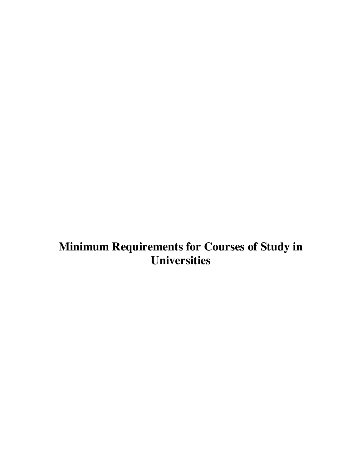# **Minimum Requirements for Courses of Study in Universities**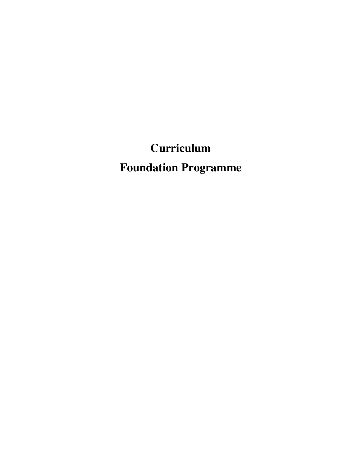**Curriculum Foundation Programme**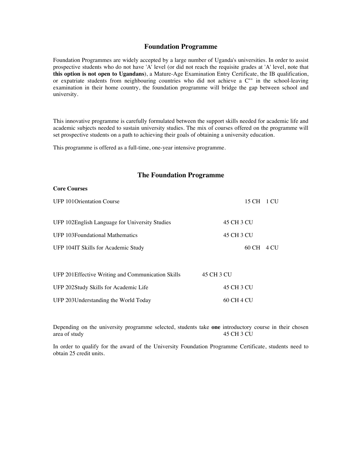# **Foundation Programme**

Foundation Programmes are widely accepted by a large number of Uganda's universities. In order to assist prospective students who do not have 'A' level (or did not reach the requisite grades at 'A' level, note that **this option is not open to Ugandans**), a Mature-Age Examination Entry Certificate, the IB qualification, or expatriate students from neighbouring countries who did not achieve a  $C^{++}$  in the school-leaving examination in their home country, the foundation programme will bridge the gap between school and university.

This innovative programme is carefully formulated between the support skills needed for academic life and academic subjects needed to sustain university studies. The mix of courses offered on the programme will set prospective students on a path to achieving their goals of obtaining a university education.

This programme is offered as a full-time, one-year intensive programme.

# **The Foundation Programme**

#### **Core Courses**

| <b>UFP 101 Orientation Course</b>                  | 15 CH 1 CU |
|----------------------------------------------------|------------|
| UFP 102English Language for University Studies     | 45 CH 3 CU |
| <b>UFP 103Foundational Mathematics</b>             | 45 CH 3 CU |
| UFP 104IT Skills for Academic Study                | 60 CH 4 CU |
|                                                    |            |
| UFP 201 Effective Writing and Communication Skills | 45 CH 3 CU |
| UFP 202Study Skills for Academic Life              | 45 CH 3 CU |
| UFP 203 Understanding the World Today              | 60 CH 4 CU |

Depending on the university programme selected, students take **one** introductory course in their chosen area of study

In order to qualify for the award of the University Foundation Programme Certificate, students need to obtain 25 credit units.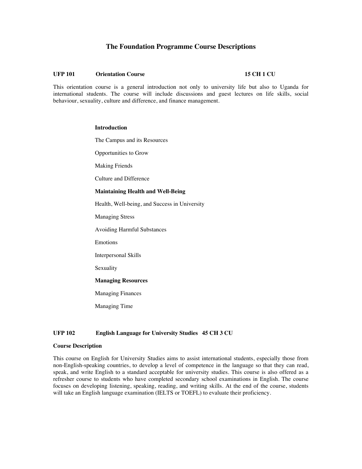# **The Foundation Programme Course Descriptions**

#### **UFP 101 Orientation Course 15 CH 1 CU**

This orientation course is a general introduction not only to university life but also to Uganda for international students. The course will include discussions and guest lectures on life skills, social behaviour, sexuality, culture and difference, and finance management.

#### **Introduction**

The Campus and its Resources

Opportunities to Grow

Making Friends

Culture and Difference

#### **Maintaining Health and Well-Being**

Health, Well-being, and Success in University

Managing Stress

Avoiding Harmful Substances

Emotions

Interpersonal Skills

Sexuality

# **Managing Resources**

Managing Finances

Managing Time

# **UFP 102 English Language for University Studies 45 CH 3 CU**

### **Course Description**

This course on English for University Studies aims to assist international students, especially those from non-English-speaking countries, to develop a level of competence in the language so that they can read, speak, and write English to a standard acceptable for university studies. This course is also offered as a refresher course to students who have completed secondary school examinations in English. The course focuses on developing listening, speaking, reading, and writing skills. At the end of the course, students will take an English language examination (IELTS or TOEFL) to evaluate their proficiency.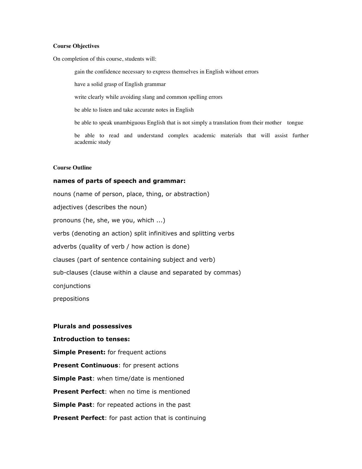# **Course Objectives**

On completion of this course, students will:

gain the confidence necessary to express themselves in English without errors

have a solid grasp of English grammar

write clearly while avoiding slang and common spelling errors

be able to listen and take accurate notes in English

be able to speak unambiguous English that is not simply a translation from their mother tongue

be able to read and understand complex academic materials that will assist further academic study

# **Course Outline**

# **names of parts of speech and grammar:**

nouns (name of person, place, thing, or abstraction) adjectives (describes the noun) pronouns (he, she, we you, which ...) verbs (denoting an action) split infinitives and splitting verbs adverbs (quality of verb / how action is done) clauses (part of sentence containing subject and verb) sub-clauses (clause within a clause and separated by commas) conjunctions prepositions

# **Plurals and possessives**

**Introduction to tenses:**

**Simple Present:** for frequent actions **Present Continuous**: for present actions **Simple Past**: when time/date is mentioned **Present Perfect**: when no time is mentioned **Simple Past**: for repeated actions in the past **Present Perfect**: for past action that is continuing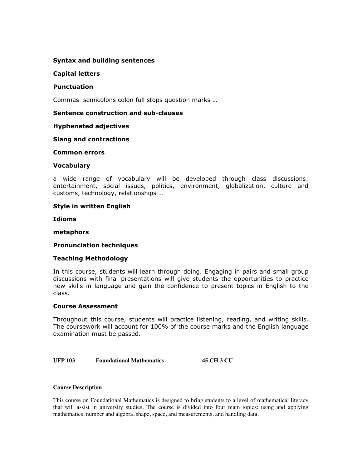# **Syntax and building sentences**

# **Capital letters**

# **Punctuation**

Commas semicolons colon full stops question marks …

# **Sentence construction and sub-clauses**

# **Hyphenated adjectives**

# **Slang and contractions**

# **Common errors**

# **Vocabulary**

a wide range of vocabulary will be developed through class discussions: entertainment, social issues, politics, environment, globalization, culture and customs, technology, relationships …

# **Style in written English**

**Idioms**

# **metaphors**

# **Pronunciation techniques**

# **Teaching Methodology**

In this course, students will learn through doing. Engaging in pairs and small group discussions with final presentations will give students the opportunities to practice new skills in language and gain the confidence to present topics in English to the class.

# **Course Assessment**

Throughout this course, students will practice listening, reading, and writing skills. The coursework will account for 100% of the course marks and the English language examination must be passed.

**UFP 103 Foundational Mathematics 45 CH 3 CU**

# **Course Description**

This course on Foundational Mathematics is designed to bring students to a level of mathematical literacy that will assist in university studies. The course is divided into four main topics: using and applying mathematics, number and algebra, shape, space, and measurements, and handling data.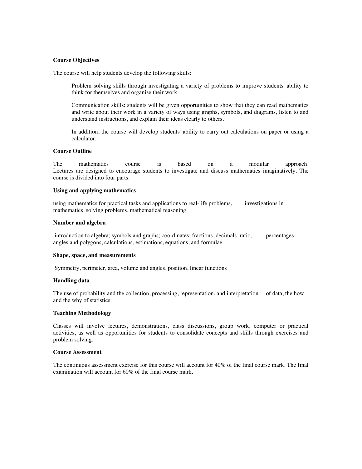# **Course Objectives**

The course will help students develop the following skills:

Problem solving skills through investigating a variety of problems to improve students' ability to think for themselves and organise their work

Communication skills: students will be given opportunities to show that they can read mathematics and write about their work in a variety of ways using graphs, symbols, and diagrams, listen to and understand instructions, and explain their ideas clearly to others.

In addition, the course will develop students' ability to carry out calculations on paper or using a calculator.

# **Course Outline**

The mathematics course is based on a modular approach. Lectures are designed to encourage students to investigate and discuss mathematics imaginatively. The course is divided into four parts:

#### **Using and applying mathematics**

using mathematics for practical tasks and applications to real-life problems, investigations in mathematics, solving problems, mathematical reasoning

#### **Number and algebra**

 introduction to algebra; symbols and graphs; coordinates; fractions, decimals, ratio, percentages, angles and polygons, calculations, estimations, equations, and formulae

#### **Shape, space, and measurements**

Symmetry, perimeter, area, volume and angles, position, linear functions

# **Handling data**

The use of probability and the collection, processing, representation, and interpretation of data, the how and the why of statistics

# **Teaching Methodology**

Classes will involve lectures, demonstrations, class discussions, group work, computer or practical activities, as well as opportunities for students to consolidate concepts and skills through exercises and problem solving.

# **Course Assessment**

The continuous assessment exercise for this course will account for 40% of the final course mark. The final examination will account for 60% of the final course mark.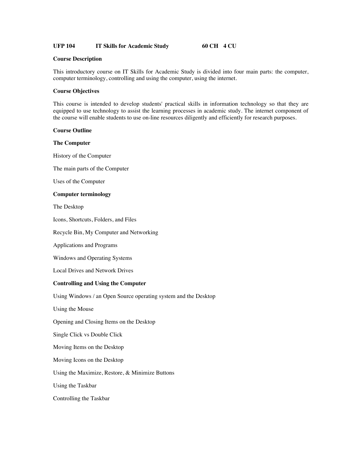# **UFP 104 IT Skills for Academic Study 60 CH 4 CU**

# **Course Description**

This introductory course on IT Skills for Academic Study is divided into four main parts: the computer, computer terminology, controlling and using the computer, using the internet.

# **Course Objectives**

This course is intended to develop students' practical skills in information technology so that they are equipped to use technology to assist the learning processes in academic study. The internet component of the course will enable students to use on-line resources diligently and efficiently for research purposes.

# **Course Outline**

# **The Computer**

History of the Computer

The main parts of the Computer

Uses of the Computer

# **Computer terminology**

The Desktop

Icons, Shortcuts, Folders, and Files

Recycle Bin, My Computer and Networking

Applications and Programs

Windows and Operating Systems

Local Drives and Network Drives

# **Controlling and Using the Computer**

Using Windows / an Open Source operating system and the Desktop

Using the Mouse

Opening and Closing Items on the Desktop

Single Click vs Double Click

Moving Items on the Desktop

Moving Icons on the Desktop

Using the Maximize, Restore, & Minimize Buttons

Using the Taskbar

Controlling the Taskbar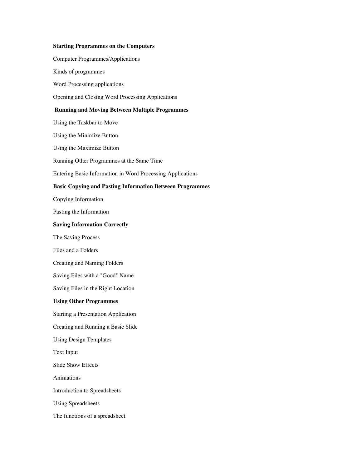# **Starting Programmes on the Computers**

Computer Programmes/Applications

Kinds of programmes

Word Processing applications

Opening and Closing Word Processing Applications

# **Running and Moving Between Multiple Programmes**

Using the Taskbar to Move Using the Minimize Button Using the Maximize Button Running Other Programmes at the Same Time Entering Basic Information in Word Processing Applications **Basic Copying and Pasting Information Between Programmes** Copying Information Pasting the Information **Saving Information Correctly** The Saving Process Files and a Folders Creating and Naming Folders Saving Files with a "Good" Name Saving Files in the Right Location **Using Other Programmes**  Starting a Presentation Application Creating and Running a Basic Slide Using Design Templates Text Input Slide Show Effects Animations Introduction to Spreadsheets Using Spreadsheets The functions of a spreadsheet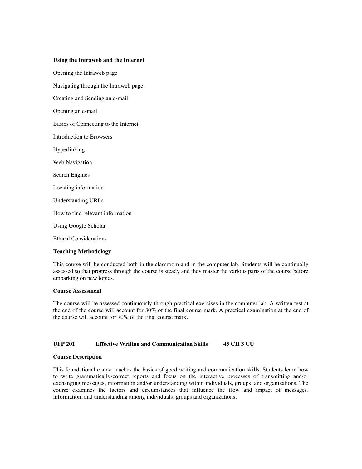#### **Using the Intraweb and the Internet**

Opening the Intraweb page Navigating through the Intraweb page Creating and Sending an e-mail Opening an e-mail Basics of Connecting to the Internet Introduction to Browsers Hyperlinking Web Navigation Search Engines Locating information Understanding URLs How to find relevant information Using Google Scholar Ethical Considerations

# **Teaching Methodology**

This course will be conducted both in the classroom and in the computer lab. Students will be continually assessed so that progress through the course is steady and they master the various parts of the course before embarking on new topics.

#### **Course Assessment**

The course will be assessed continuously through practical exercises in the computer lab. A written test at the end of the course will account for 30% of the final course mark. A practical examination at the end of the course will account for 70% of the final course mark.

#### **UFP 201 Effective Writing and Communication Skills 45 CH 3 CU**

#### **Course Description**

This foundational course teaches the basics of good writing and communication skills. Students learn how to write grammatically-correct reports and focus on the interactive processes of transmitting and/or exchanging messages, information and/or understanding within individuals, groups, and organizations. The course examines the factors and circumstances that influence the flow and impact of messages, information, and understanding among individuals, groups and organizations.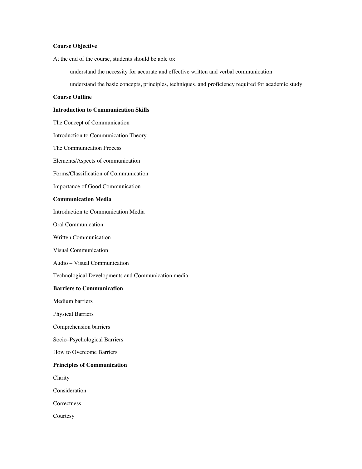# **Course Objective**

At the end of the course, students should be able to:

understand the necessity for accurate and effective written and verbal communication

understand the basic concepts, principles, techniques, and proficiency required for academic study

# **Course Outline**

# **Introduction to Communication Skills**

The Concept of Communication

Introduction to Communication Theory

The Communication Process

Elements/Aspects of communication

Forms/Classification of Communication

Importance of Good Communication

# **Communication Media**

Introduction to Communication Media

Oral Communication

Written Communication

Visual Communication

Audio – Visual Communication

Technological Developments and Communication media

#### **Barriers to Communication**

Medium barriers

Physical Barriers

Comprehension barriers

Socio–Psychological Barriers

How to Overcome Barriers

#### **Principles of Communication**

Clarity

Consideration

**Correctness** 

**Courtesy**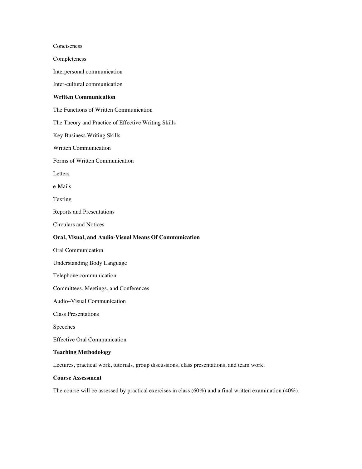Conciseness Completeness Interpersonal communication Inter-cultural communication **Written Communication**  The Functions of Written Communication The Theory and Practice of Effective Writing Skills Key Business Writing Skills Written Communication Forms of Written Communication Letters e-Mails Texting Reports and Presentations Circulars and Notices **Oral, Visual, and Audio-Visual Means Of Communication** Oral Communication Understanding Body Language Telephone communication Committees, Meetings, and Conferences Audio–Visual Communication Class Presentations Speeches Effective Oral Communication **Teaching Methodology** Lectures, practical work, tutorials, group discussions, class presentations, and team work.

# **Course Assessment**

The course will be assessed by practical exercises in class (60%) and a final written examination (40%).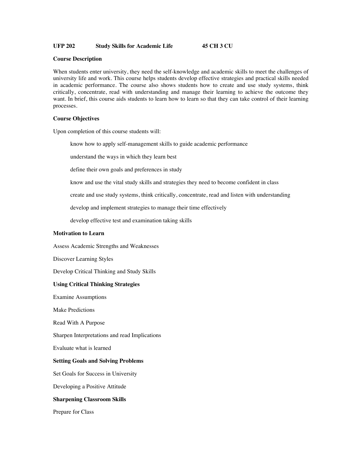# **UFP 202 Study Skills for Academic Life 45 CH 3 CU**

#### **Course Description**

When students enter university, they need the self-knowledge and academic skills to meet the challenges of university life and work. This course helps students develop effective strategies and practical skills needed in academic performance. The course also shows students how to create and use study systems, think critically, concentrate, read with understanding and manage their learning to achieve the outcome they want. In brief, this course aids students to learn how to learn so that they can take control of their learning processes.

#### **Course Objectives**

Upon completion of this course students will:

know how to apply self-management skills to guide academic performance

understand the ways in which they learn best

define their own goals and preferences in study

know and use the vital study skills and strategies they need to become confident in class

create and use study systems, think critically, concentrate, read and listen with understanding

develop and implement strategies to manage their time effectively

develop effective test and examination taking skills

#### **Motivation to Learn**

Assess Academic Strengths and Weaknesses

Discover Learning Styles

Develop Critical Thinking and Study Skills

# **Using Critical Thinking Strategies**

Examine Assumptions

Make Predictions

Read With A Purpose

Sharpen Interpretations and read Implications

Evaluate what is learned

# **Setting Goals and Solving Problems**

Set Goals for Success in University

Developing a Positive Attitude

# **Sharpening Classroom Skills**

Prepare for Class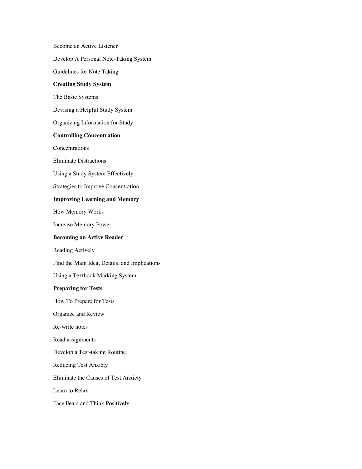Become an Active Listener Develop A Personal Note-Taking System Guidelines for Note Taking **Creating Study System** The Basic Systems Devising a Helpful Study System Organizing Information for Study **Controlling Concentration Concentrations** Eliminate Distractions Using a Study System Effectively Strategies to Improve Concentration **Improving Learning and Memory** How Memory Works Increase Memory Power **Becoming an Active Reader** Reading Actively Find the Main Idea, Details, and Implications Using a Textbook Marking System **Preparing for Tests** How To Prepare for Tests Organize and Review Re-write notes Read assignments Develop a Test-taking Routine Reducing Test Anxiety Eliminate the Causes of Test Anxiety Learn to Relax Face Fears and Think Positively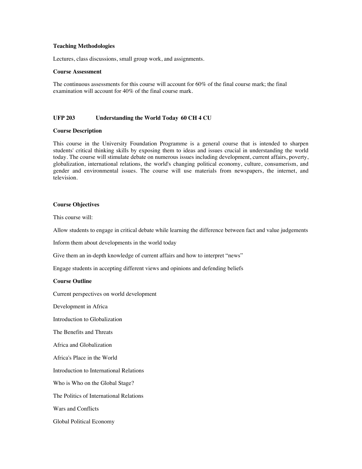### **Teaching Methodologies**

Lectures, class discussions, small group work, and assignments.

#### **Course Assessment**

The continuous assessments for this course will account for 60% of the final course mark; the final examination will account for 40% of the final course mark.

# **UFP 203 Understanding the World Today 60 CH 4 CU**

#### **Course Description**

This course in the University Foundation Programme is a general course that is intended to sharpen students' critical thinking skills by exposing them to ideas and issues crucial in understanding the world today. The course will stimulate debate on numerous issues including development, current affairs, poverty, globalization, international relations, the world's changing political economy, culture, consumerism, and gender and environmental issues. The course will use materials from newspapers, the internet, and television.

# **Course Objectives**

This course will:

Allow students to engage in critical debate while learning the difference between fact and value judgements

Inform them about developments in the world today

Give them an in-depth knowledge of current affairs and how to interpret "news"

Engage students in accepting different views and opinions and defending beliefs

#### **Course Outline**

Current perspectives on world development

Development in Africa

Introduction to Globalization

The Benefits and Threats

Africa and Globalization

Africa's Place in the World

Introduction to International Relations

Who is Who on the Global Stage?

The Politics of International Relations

Wars and Conflicts

Global Political Economy